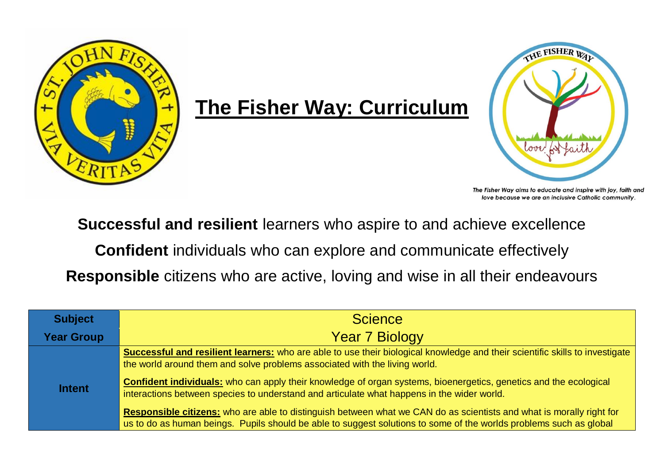

## **The Fisher Way: Curriculum**



The Fisher Way aims to educate and inspire with joy, faith and love because we are an inclusive Catholic community.

**Successful and resilient** learners who aspire to and achieve excellence

**Confident** individuals who can explore and communicate effectively

**Responsible** citizens who are active, loving and wise in all their endeavours

| <b>Subject</b>    | <b>Science</b>                                                                                                                                                                                                                             |  |  |  |  |  |  |  |
|-------------------|--------------------------------------------------------------------------------------------------------------------------------------------------------------------------------------------------------------------------------------------|--|--|--|--|--|--|--|
| <b>Year Group</b> | <b>Year 7 Biology</b>                                                                                                                                                                                                                      |  |  |  |  |  |  |  |
|                   | Successful and resilient learners: who are able to use their biological knowledge and their scientific skills to investigate<br>the world around them and solve problems associated with the living world.                                 |  |  |  |  |  |  |  |
| <b>Intent</b>     | <b>Confident individuals:</b> who can apply their knowledge of organ systems, bioenergetics, genetics and the ecological<br>interactions between species to understand and articulate what happens in the wider world.                     |  |  |  |  |  |  |  |
|                   | Responsible citizens: who are able to distinguish between what we CAN do as scientists and what is morally right for<br>us to do as human beings. Pupils should be able to suggest solutions to some of the worlds problems such as global |  |  |  |  |  |  |  |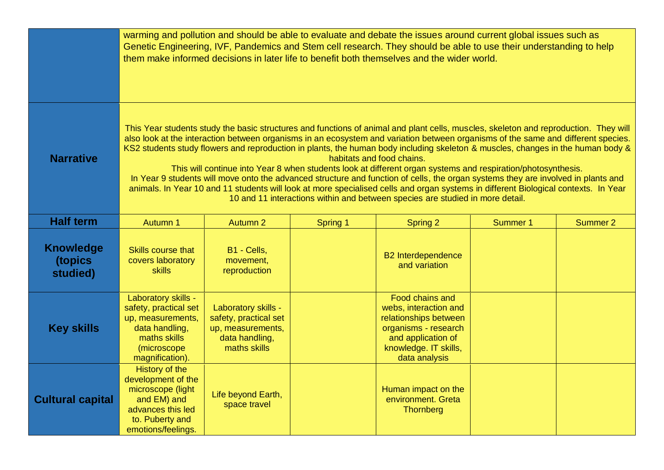|                                         | warming and pollution and should be able to evaluate and debate the issues around current global issues such as<br>Genetic Engineering, IVF, Pandemics and Stem cell research. They should be able to use their understanding to help<br>them make informed decisions in later life to benefit both themselves and the wider world.                                                                                                                                                                                                                                                                                                                                                                                                                                                                                                                                                                                    |                                                                                                     |                 |                                                                                                                                                           |                 |          |  |  |  |
|-----------------------------------------|------------------------------------------------------------------------------------------------------------------------------------------------------------------------------------------------------------------------------------------------------------------------------------------------------------------------------------------------------------------------------------------------------------------------------------------------------------------------------------------------------------------------------------------------------------------------------------------------------------------------------------------------------------------------------------------------------------------------------------------------------------------------------------------------------------------------------------------------------------------------------------------------------------------------|-----------------------------------------------------------------------------------------------------|-----------------|-----------------------------------------------------------------------------------------------------------------------------------------------------------|-----------------|----------|--|--|--|
| <b>Narrative</b>                        | This Year students study the basic structures and functions of animal and plant cells, muscles, skeleton and reproduction. They will<br>also look at the interaction between organisms in an ecosystem and variation between organisms of the same and different species.<br>KS2 students study flowers and reproduction in plants, the human body including skeleton & muscles, changes in the human body &<br>habitats and food chains.<br>This will continue into Year 8 when students look at different organ systems and respiration/photosynthesis.<br>In Year 9 students will move onto the advanced structure and function of cells, the organ systems they are involved in plants and<br>animals. In Year 10 and 11 students will look at more specialised cells and organ systems in different Biological contexts. In Year<br>10 and 11 interactions within and between species are studied in more detail. |                                                                                                     |                 |                                                                                                                                                           |                 |          |  |  |  |
| <b>Half term</b>                        | Autumn 1                                                                                                                                                                                                                                                                                                                                                                                                                                                                                                                                                                                                                                                                                                                                                                                                                                                                                                               | <b>Autumn 2</b>                                                                                     | <b>Spring 1</b> | <b>Spring 2</b>                                                                                                                                           | <b>Summer 1</b> | Summer 2 |  |  |  |
| <b>Knowledge</b><br>(topics<br>studied) | Skills course that<br>covers laboratory<br><b>skills</b>                                                                                                                                                                                                                                                                                                                                                                                                                                                                                                                                                                                                                                                                                                                                                                                                                                                               | B1 - Cells,<br>movement,<br>reproduction                                                            |                 | <b>B2</b> Interdependence<br>and variation                                                                                                                |                 |          |  |  |  |
| <b>Key skills</b>                       | Laboratory skills -<br>safety, practical set<br>up, measurements,<br>data handling,<br>maths skills<br>(microscope<br>magnification).                                                                                                                                                                                                                                                                                                                                                                                                                                                                                                                                                                                                                                                                                                                                                                                  | Laboratory skills -<br>safety, practical set<br>up, measurements,<br>data handling,<br>maths skills |                 | Food chains and<br>webs, interaction and<br>relationships between<br>organisms - research<br>and application of<br>knowledge. IT skills,<br>data analysis |                 |          |  |  |  |
| <b>Cultural capital</b>                 | History of the<br>development of the<br>microscope (light<br>and EM) and<br>advances this led<br>to. Puberty and<br>emotions/feelings.                                                                                                                                                                                                                                                                                                                                                                                                                                                                                                                                                                                                                                                                                                                                                                                 | Life beyond Earth,<br>space travel                                                                  |                 | Human impact on the<br>environment. Greta<br><b>Thornberg</b>                                                                                             |                 |          |  |  |  |